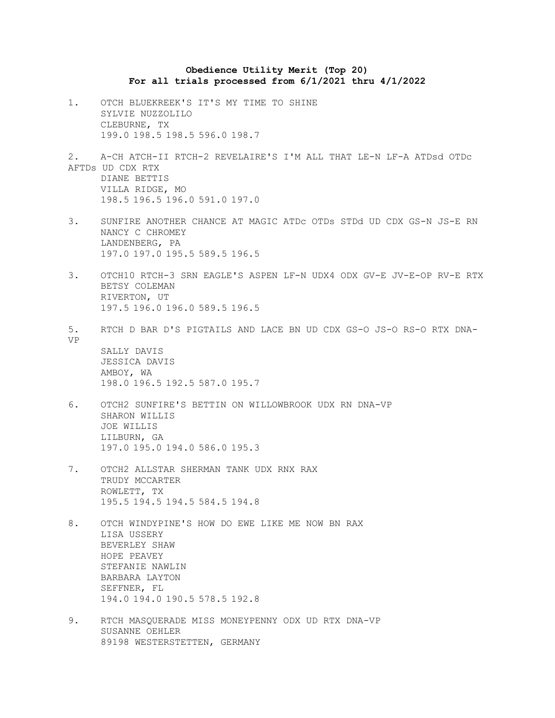## **Obedience Utility Merit (Top 20) For all trials processed from 6/1/2021 thru 4/1/2022**

- 1. OTCH BLUEKREEK'S IT'S MY TIME TO SHINE SYLVIE NUZZOLILO CLEBURNE, TX 199.0 198.5 198.5 596.0 198.7
- 2. A-CH ATCH-II RTCH-2 REVELAIRE'S I'M ALL THAT LE-N LF-A ATDsd OTDc AFTDs UD CDX RTX DIANE BETTIS VILLA RIDGE, MO 198.5 196.5 196.0 591.0 197.0
- 3. SUNFIRE ANOTHER CHANCE AT MAGIC ATDc OTDs STDd UD CDX GS-N JS-E RN NANCY C CHROMEY LANDENBERG, PA 197.0 197.0 195.5 589.5 196.5
- 3. OTCH10 RTCH-3 SRN EAGLE'S ASPEN LF-N UDX4 ODX GV-E JV-E-OP RV-E RTX BETSY COLEMAN RIVERTON, UT 197.5 196.0 196.0 589.5 196.5
- 5. RTCH D BAR D'S PIGTAILS AND LACE BN UD CDX GS-O JS-O RS-O RTX DNA-VP SALLY DAVIS JESSICA DAVIS AMBOY, WA 198.0 196.5 192.5 587.0 195.7
- 6. OTCH2 SUNFIRE'S BETTIN ON WILLOWBROOK UDX RN DNA-VP SHARON WILLIS JOE WILLIS LILBURN, GA 197.0 195.0 194.0 586.0 195.3
- 7. OTCH2 ALLSTAR SHERMAN TANK UDX RNX RAX TRUDY MCCARTER ROWLETT, TX 195.5 194.5 194.5 584.5 194.8
- 8. OTCH WINDYPINE'S HOW DO EWE LIKE ME NOW BN RAX LISA USSERY BEVERLEY SHAW HOPE PEAVEY STEFANIE NAWLIN BARBARA LAYTON SEFFNER, FL 194.0 194.0 190.5 578.5 192.8
- 9. RTCH MASQUERADE MISS MONEYPENNY ODX UD RTX DNA-VP SUSANNE OEHLER 89198 WESTERSTETTEN, GERMANY